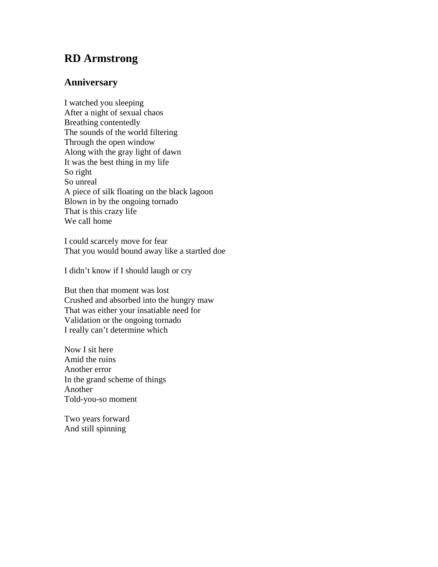## **RD Armstrong**

## **Anniversary**

I watched you sleeping After a night of sexual chaos Breathing contentedly The sounds of the world filtering Through the open window Along with the gray light of dawn It was the best thing in my life So right So unreal A piece of silk floating on the black lagoon Blown in by the ongoing tornado That is this crazy life We call home

I could scarcely move for fear That you would bound away like a startled doe

I didn't know if I should laugh or cry

But then that moment was lost Crushed and absorbed into the hungry maw That was either your insatiable need for Validation or the ongoing tornado I really can't determine which

Now I sit here Amid the ruins Another error In the grand scheme of things Another Told-you-so moment

Two years forward And still spinning